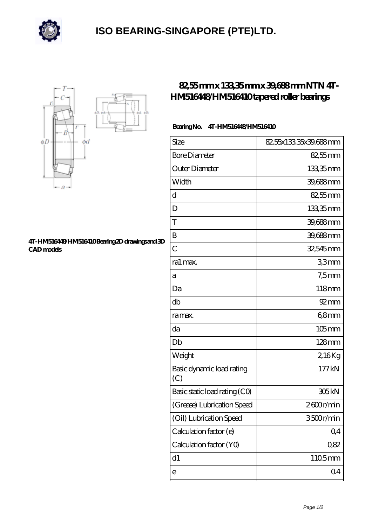

## **[ISO BEARING-SINGAPORE \(PTE\)LTD.](https://m.calvadosbnb.com)**



## **[4T-HM516448/HM516410 Bearing 2D drawings and 3D](https://m.calvadosbnb.com/pic-65129361.html) [CAD models](https://m.calvadosbnb.com/pic-65129361.html)**

## **[82,55 mm x 133,35 mm x 39,688 mm NTN 4T-](https://m.calvadosbnb.com/ntn-4t-hm516448-hm516410-bearing/)[HM516448/HM516410 tapered roller bearings](https://m.calvadosbnb.com/ntn-4t-hm516448-hm516410-bearing/)**

## **Bearing No. 4T-HM516448/HM516410**

| Size                             | 82.55x133.35x39.688mm |
|----------------------------------|-----------------------|
| <b>Bore Diameter</b>             | $82,55$ mm            |
| Outer Diameter                   | 133,35mm              |
| Width                            | 39,688mm              |
| d                                | 82,55mm               |
| D                                | 133,35mm              |
| T                                | 39,688mm              |
| B                                | 39,688 mm             |
| $\overline{C}$                   | 32,545 mm             |
| ra1 max.                         | 33mm                  |
| а                                | $7,5$ mm              |
| Da                               | 118mm                 |
| db                               | $92 \text{mm}$        |
| ra max.                          | 68mm                  |
| da                               | $105$ mm              |
| Db                               | $128$ mm              |
| Weight                           | 2,16Kg                |
| Basic dynamic load rating<br>(C) | 177kN                 |
| Basic static load rating (CO)    | 305 <sub>kN</sub>     |
| (Grease) Lubrication Speed       | 2600r/min             |
| (Oil) Lubrication Speed          | 3500r/min             |
| Calculation factor (e)           | Q <sub>4</sub>        |
| Calculation factor (YO)          | 0,82                  |
| d1                               | 1105mm                |
| е                                | Q <sub>4</sub>        |